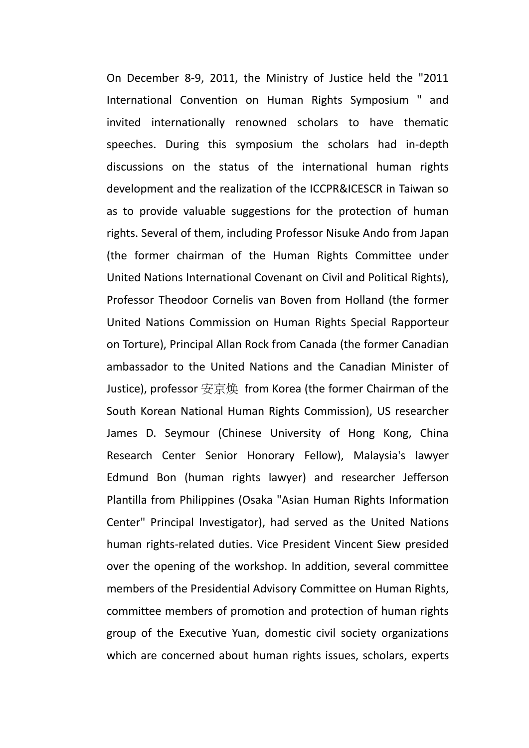On December 8-9, 2011, the Ministry of Justice held the "2011 International Convention on Human Rights Symposium " and invited internationally renowned scholars to have thematic speeches. During this symposium the scholars had in-depth discussions on the status of the international human rights development and the realization of the ICCPR&ICESCR in Taiwan so as to provide valuable suggestions for the protection of human rights. Several of them, including Professor Nisuke Ando from Japan (the former chairman of the Human Rights Committee under United Nations International Covenant on Civil and Political Rights), Professor Theodoor Cornelis van Boven from Holland (the former United Nations Commission on Human Rights Special Rapporteur on Torture), Principal Allan Rock from Canada (the former Canadian ambassador to the United Nations and the Canadian Minister of Justice), professor 安京焕 from Korea (the former Chairman of the South Korean National Human Rights Commission), US researcher James D. Seymour (Chinese University of Hong Kong, China Research Center Senior Honorary Fellow), Malaysia's lawyer Edmund Bon (human rights lawyer) and researcher Jefferson Plantilla from Philippines (Osaka "Asian Human Rights Information Center" Principal Investigator), had served as the United Nations human rights-related duties. Vice President Vincent Siew presided over the opening of the workshop. In addition, several committee members of the Presidential Advisory Committee on Human Rights, committee members of promotion and protection of human rights group of the Executive Yuan, domestic civil society organizations which are concerned about human rights issues, scholars, experts